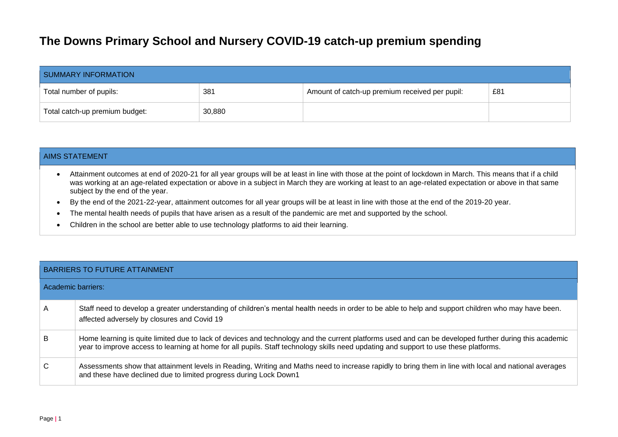## **The Downs Primary School and Nursery COVID-19 catch-up premium spending**

| SUMMARY INFORMATION            |        |                                                |     |  |  |
|--------------------------------|--------|------------------------------------------------|-----|--|--|
| Total number of pupils:        | 381    | Amount of catch-up premium received per pupil: | £81 |  |  |
| Total catch-up premium budget: | 30,880 |                                                |     |  |  |

## AIMS STATEMENT

- Attainment outcomes at end of 2020-21 for all year groups will be at least in line with those at the point of lockdown in March. This means that if a child was working at an age-related expectation or above in a subject in March they are working at least to an age-related expectation or above in that same subject by the end of the year.
- By the end of the 2021-22-year, attainment outcomes for all year groups will be at least in line with those at the end of the 2019-20 year.
- The mental health needs of pupils that have arisen as a result of the pandemic are met and supported by the school.
- Children in the school are better able to use technology platforms to aid their learning.

## BARRIERS TO FUTURE ATTAINMENT

| Academic barriers: |                                                                                                                                                                                                                                                                                               |
|--------------------|-----------------------------------------------------------------------------------------------------------------------------------------------------------------------------------------------------------------------------------------------------------------------------------------------|
| $\mathsf{A}$       | Staff need to develop a greater understanding of children's mental health needs in order to be able to help and support children who may have been.<br>affected adversely by closures and Covid 19                                                                                            |
| B                  | Home learning is quite limited due to lack of devices and technology and the current platforms used and can be developed further during this academic<br>year to improve access to learning at home for all pupils. Staff technology skills need updating and support to use these platforms. |
| C                  | Assessments show that attainment levels in Reading, Writing and Maths need to increase rapidly to bring them in line with local and national averages<br>and these have declined due to limited progress during Lock Down1                                                                    |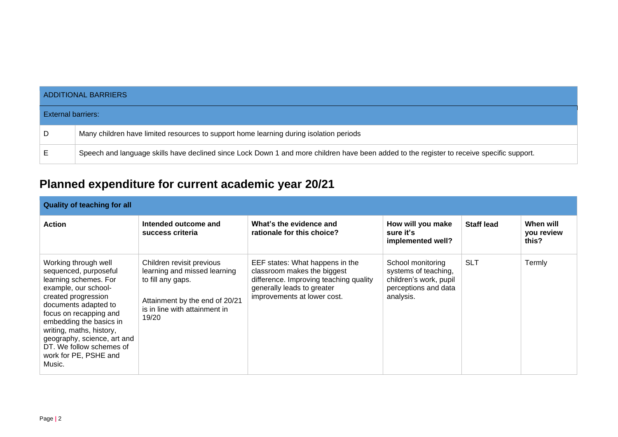|                           | <b>ADDITIONAL BARRIERS</b>                                                                                                                |  |  |  |  |
|---------------------------|-------------------------------------------------------------------------------------------------------------------------------------------|--|--|--|--|
| <b>External barriers:</b> |                                                                                                                                           |  |  |  |  |
| D                         | Many children have limited resources to support home learning during isolation periods                                                    |  |  |  |  |
| Е                         | Speech and language skills have declined since Lock Down 1 and more children have been added to the register to receive specific support. |  |  |  |  |

## **Planned expenditure for current academic year 20/21**

| <b>Quality of teaching for all</b>                                                                                                                                                                                                                                                                                           |                                                                                                                                                            |                                                                                                                                                                       |                                                                                                          |                   |                                  |  |
|------------------------------------------------------------------------------------------------------------------------------------------------------------------------------------------------------------------------------------------------------------------------------------------------------------------------------|------------------------------------------------------------------------------------------------------------------------------------------------------------|-----------------------------------------------------------------------------------------------------------------------------------------------------------------------|----------------------------------------------------------------------------------------------------------|-------------------|----------------------------------|--|
| <b>Action</b>                                                                                                                                                                                                                                                                                                                | Intended outcome and<br>success criteria                                                                                                                   | What's the evidence and<br>rationale for this choice?                                                                                                                 | How will you make<br>sure it's<br>implemented well?                                                      | <b>Staff lead</b> | When will<br>you review<br>this? |  |
| Working through well<br>sequenced, purposeful<br>learning schemes. For<br>example, our school-<br>created progression<br>documents adapted to<br>focus on recapping and<br>embedding the basics in<br>writing, maths, history,<br>geography, science, art and<br>DT. We follow schemes of<br>work for PE, PSHE and<br>Music. | Children revisit previous<br>learning and missed learning<br>to fill any gaps.<br>Attainment by the end of 20/21<br>is in line with attainment in<br>19/20 | EEF states: What happens in the<br>classroom makes the biggest<br>difference. Improving teaching quality<br>generally leads to greater<br>improvements at lower cost. | School monitoring<br>systems of teaching,<br>children's work, pupil<br>perceptions and data<br>analysis. | <b>SLT</b>        | Termly                           |  |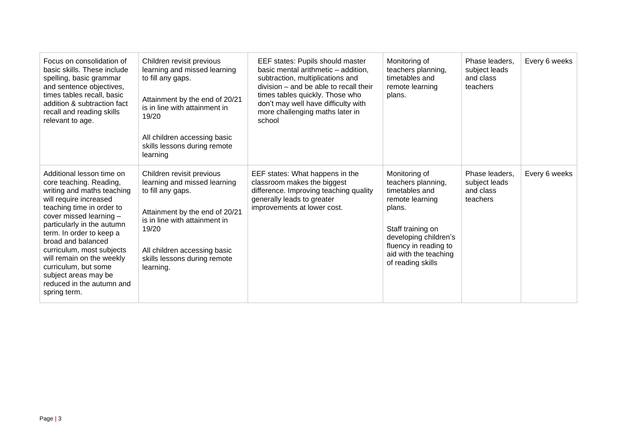| Focus on consolidation of<br>basic skills. These include<br>spelling, basic grammar<br>and sentence objectives,<br>times tables recall, basic<br>addition & subtraction fact<br>recall and reading skills<br>relevant to age.                                                                                                                                                                               | Children revisit previous<br>learning and missed learning<br>to fill any gaps.<br>Attainment by the end of 20/21<br>is in line with attainment in<br>19/20<br>All children accessing basic<br>skills lessons during remote<br>learning  | EEF states: Pupils should master<br>basic mental arithmetic - addition,<br>subtraction, multiplications and<br>division – and be able to recall their<br>times tables quickly. Those who<br>don't may well have difficulty with<br>more challenging maths later in<br>school | Monitoring of<br>teachers planning,<br>timetables and<br>remote learning<br>plans.                                                                                                                      | Phase leaders.<br>subject leads<br>and class<br>teachers | Every 6 weeks |
|-------------------------------------------------------------------------------------------------------------------------------------------------------------------------------------------------------------------------------------------------------------------------------------------------------------------------------------------------------------------------------------------------------------|-----------------------------------------------------------------------------------------------------------------------------------------------------------------------------------------------------------------------------------------|------------------------------------------------------------------------------------------------------------------------------------------------------------------------------------------------------------------------------------------------------------------------------|---------------------------------------------------------------------------------------------------------------------------------------------------------------------------------------------------------|----------------------------------------------------------|---------------|
| Additional lesson time on<br>core teaching. Reading,<br>writing and maths teaching<br>will require increased<br>teaching time in order to<br>cover missed learning -<br>particularly in the autumn<br>term. In order to keep a<br>broad and balanced<br>curriculum, most subjects<br>will remain on the weekly<br>curriculum, but some<br>subject areas may be<br>reduced in the autumn and<br>spring term. | Children revisit previous<br>learning and missed learning<br>to fill any gaps.<br>Attainment by the end of 20/21<br>is in line with attainment in<br>19/20<br>All children accessing basic<br>skills lessons during remote<br>learning. | EEF states: What happens in the<br>classroom makes the biggest<br>difference. Improving teaching quality<br>generally leads to greater<br>improvements at lower cost.                                                                                                        | Monitoring of<br>teachers planning,<br>timetables and<br>remote learning<br>plans.<br>Staff training on<br>developing children's<br>fluency in reading to<br>aid with the teaching<br>of reading skills | Phase leaders.<br>subject leads<br>and class<br>teachers | Every 6 weeks |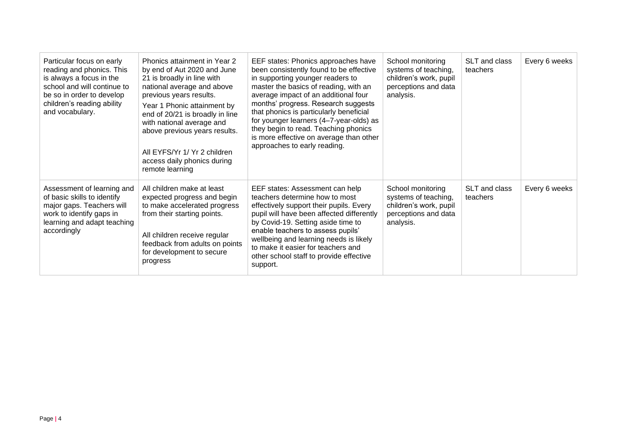| Particular focus on early<br>reading and phonics. This<br>is always a focus in the<br>school and will continue to<br>be so in order to develop<br>children's reading ability<br>and vocabulary. | Phonics attainment in Year 2<br>by end of Aut 2020 and June<br>21 is broadly in line with<br>national average and above<br>previous years results.<br>Year 1 Phonic attainment by<br>end of 20/21 is broadly in line<br>with national average and<br>above previous years results.<br>All EYFS/Yr 1/ Yr 2 children<br>access daily phonics during<br>remote learning | EEF states: Phonics approaches have<br>been consistently found to be effective<br>in supporting younger readers to<br>master the basics of reading, with an<br>average impact of an additional four<br>months' progress. Research suggests<br>that phonics is particularly beneficial<br>for younger learners (4-7-year-olds) as<br>they begin to read. Teaching phonics<br>is more effective on average than other<br>approaches to early reading. | School monitoring<br>systems of teaching,<br>children's work, pupil<br>perceptions and data<br>analysis. | SLT and class<br>teachers | Every 6 weeks |
|-------------------------------------------------------------------------------------------------------------------------------------------------------------------------------------------------|----------------------------------------------------------------------------------------------------------------------------------------------------------------------------------------------------------------------------------------------------------------------------------------------------------------------------------------------------------------------|-----------------------------------------------------------------------------------------------------------------------------------------------------------------------------------------------------------------------------------------------------------------------------------------------------------------------------------------------------------------------------------------------------------------------------------------------------|----------------------------------------------------------------------------------------------------------|---------------------------|---------------|
| Assessment of learning and<br>of basic skills to identify<br>major gaps. Teachers will<br>work to identify gaps in<br>learning and adapt teaching<br>accordingly                                | All children make at least<br>expected progress and begin<br>to make accelerated progress<br>from their starting points.<br>All children receive regular<br>feedback from adults on points<br>for development to secure<br>progress                                                                                                                                  | EEF states: Assessment can help<br>teachers determine how to most<br>effectively support their pupils. Every<br>pupil will have been affected differently<br>by Covid-19. Setting aside time to<br>enable teachers to assess pupils'<br>wellbeing and learning needs is likely<br>to make it easier for teachers and<br>other school staff to provide effective<br>support.                                                                         | School monitoring<br>systems of teaching,<br>children's work, pupil<br>perceptions and data<br>analysis. | SLT and class<br>teachers | Every 6 weeks |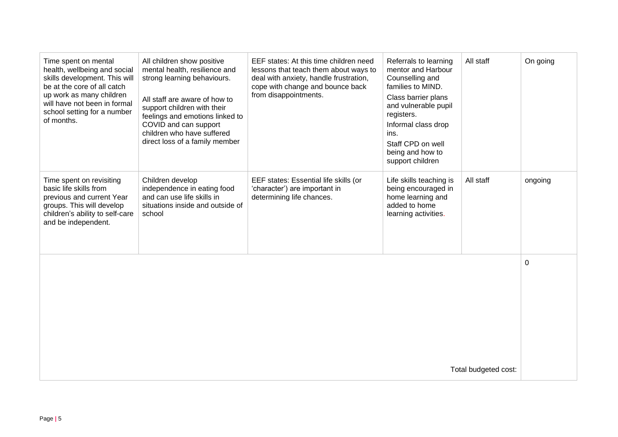| Time spent on mental<br>health, wellbeing and social<br>skills development. This will<br>be at the core of all catch<br>up work as many children<br>will have not been in formal<br>school setting for a number<br>of months. | All children show positive<br>mental health, resilience and<br>strong learning behaviours.<br>All staff are aware of how to<br>support children with their<br>feelings and emotions linked to<br>COVID and can support<br>children who have suffered<br>direct loss of a family member | EEF states: At this time children need<br>lessons that teach them about ways to<br>deal with anxiety, handle frustration,<br>cope with change and bounce back<br>from disappointments. | Referrals to learning<br>mentor and Harbour<br>Counselling and<br>families to MIND.<br>Class barrier plans<br>and vulnerable pupil<br>registers.<br>Informal class drop<br>ins.<br>Staff CPD on well<br>being and how to<br>support children | All staff | On going |
|-------------------------------------------------------------------------------------------------------------------------------------------------------------------------------------------------------------------------------|----------------------------------------------------------------------------------------------------------------------------------------------------------------------------------------------------------------------------------------------------------------------------------------|----------------------------------------------------------------------------------------------------------------------------------------------------------------------------------------|----------------------------------------------------------------------------------------------------------------------------------------------------------------------------------------------------------------------------------------------|-----------|----------|
| Time spent on revisiting<br>basic life skills from<br>previous and current Year<br>groups. This will develop<br>children's ability to self-care<br>and be independent.                                                        | Children develop<br>independence in eating food<br>and can use life skills in<br>situations inside and outside of<br>school                                                                                                                                                            | EEF states: Essential life skills (or<br>'character') are important in<br>determining life chances.                                                                                    | Life skills teaching is<br>being encouraged in<br>home learning and<br>added to home<br>learning activities.                                                                                                                                 | All staff | ongoing  |
| Total budgeted cost:                                                                                                                                                                                                          |                                                                                                                                                                                                                                                                                        |                                                                                                                                                                                        |                                                                                                                                                                                                                                              |           | 0        |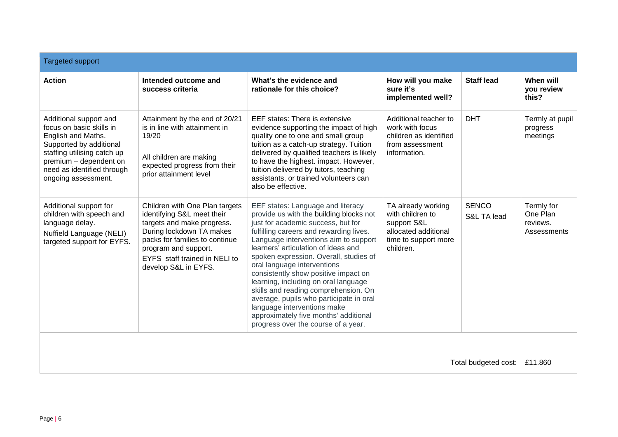| <b>Targeted support</b>                                                                                                                                                                                           |                                                                                                                                                                                                                                           |                                                                                                                                                                                                                                                                                                                                                                                                                                                                                                                                                                                                          |                                                                                                                    |                             |                                                   |
|-------------------------------------------------------------------------------------------------------------------------------------------------------------------------------------------------------------------|-------------------------------------------------------------------------------------------------------------------------------------------------------------------------------------------------------------------------------------------|----------------------------------------------------------------------------------------------------------------------------------------------------------------------------------------------------------------------------------------------------------------------------------------------------------------------------------------------------------------------------------------------------------------------------------------------------------------------------------------------------------------------------------------------------------------------------------------------------------|--------------------------------------------------------------------------------------------------------------------|-----------------------------|---------------------------------------------------|
| <b>Action</b>                                                                                                                                                                                                     | Intended outcome and<br>success criteria                                                                                                                                                                                                  | What's the evidence and<br>rationale for this choice?                                                                                                                                                                                                                                                                                                                                                                                                                                                                                                                                                    | How will you make<br>sure it's<br>implemented well?                                                                | <b>Staff lead</b>           | When will<br>vou review<br>this?                  |
| Additional support and<br>focus on basic skills in<br>English and Maths.<br>Supported by additional<br>staffing utilising catch up<br>premium - dependent on<br>need as identified through<br>ongoing assessment. | Attainment by the end of 20/21<br>is in line with attainment in<br>19/20<br>All children are making<br>expected progress from their<br>prior attainment level                                                                             | EEF states: There is extensive<br>evidence supporting the impact of high<br>quality one to one and small group<br>tuition as a catch-up strategy. Tuition<br>delivered by qualified teachers is likely<br>to have the highest. impact. However,<br>tuition delivered by tutors, teaching<br>assistants, or trained volunteers can<br>also be effective.                                                                                                                                                                                                                                                  | Additional teacher to<br>work with focus<br>children as identified<br>from assessment<br>information.              | <b>DHT</b>                  | Termly at pupil<br>progress<br>meetings           |
| Additional support for<br>children with speech and<br>language delay.<br>Nuffield Language (NELI)<br>targeted support for EYFS.                                                                                   | Children with One Plan targets<br>identifying S&L meet their<br>targets and make progress.<br>During lockdown TA makes<br>packs for families to continue<br>program and support.<br>EYFS staff trained in NELI to<br>develop S&L in EYFS. | EEF states: Language and literacy<br>provide us with the building blocks not<br>just for academic success, but for<br>fulfilling careers and rewarding lives.<br>Language interventions aim to support<br>learners' articulation of ideas and<br>spoken expression. Overall, studies of<br>oral language interventions<br>consistently show positive impact on<br>learning, including on oral language<br>skills and reading comprehension. On<br>average, pupils who participate in oral<br>language interventions make<br>approximately five months' additional<br>progress over the course of a year. | TA already working<br>with children to<br>support S&L<br>allocated additional<br>time to support more<br>children. | <b>SENCO</b><br>S&L TA lead | Termly for<br>One Plan<br>reviews.<br>Assessments |
|                                                                                                                                                                                                                   |                                                                                                                                                                                                                                           |                                                                                                                                                                                                                                                                                                                                                                                                                                                                                                                                                                                                          |                                                                                                                    |                             |                                                   |
| Total budgeted cost:                                                                                                                                                                                              |                                                                                                                                                                                                                                           |                                                                                                                                                                                                                                                                                                                                                                                                                                                                                                                                                                                                          |                                                                                                                    | £11.860                     |                                                   |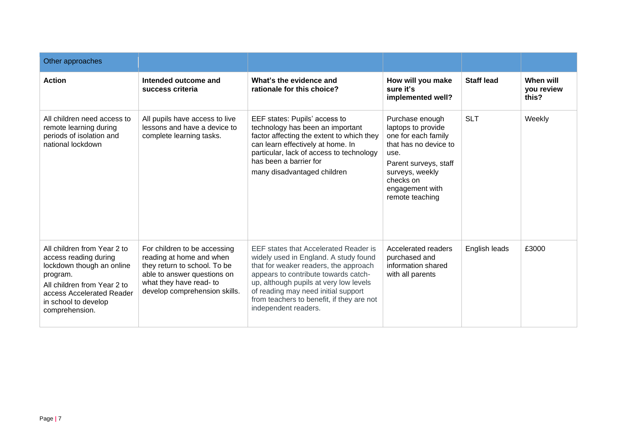| Other approaches                                                                                                                                                                                    |                                                                                                                                                                                     |                                                                                                                                                                                                                                                                                                                       |                                                                                                                                                                                              |                   |                                  |
|-----------------------------------------------------------------------------------------------------------------------------------------------------------------------------------------------------|-------------------------------------------------------------------------------------------------------------------------------------------------------------------------------------|-----------------------------------------------------------------------------------------------------------------------------------------------------------------------------------------------------------------------------------------------------------------------------------------------------------------------|----------------------------------------------------------------------------------------------------------------------------------------------------------------------------------------------|-------------------|----------------------------------|
| <b>Action</b>                                                                                                                                                                                       | Intended outcome and<br>success criteria                                                                                                                                            | What's the evidence and<br>rationale for this choice?                                                                                                                                                                                                                                                                 | How will you make<br>sure it's<br>implemented well?                                                                                                                                          | <b>Staff lead</b> | When will<br>you review<br>this? |
| All children need access to<br>remote learning during<br>periods of isolation and<br>national lockdown                                                                                              | All pupils have access to live<br>lessons and have a device to<br>complete learning tasks.                                                                                          | EEF states: Pupils' access to<br>technology has been an important<br>factor affecting the extent to which they<br>can learn effectively at home. In<br>particular, lack of access to technology<br>has been a barrier for<br>many disadvantaged children                                                              | Purchase enough<br>laptops to provide<br>one for each family<br>that has no device to<br>use.<br>Parent surveys, staff<br>surveys, weekly<br>checks on<br>engagement with<br>remote teaching | <b>SLT</b>        | Weekly                           |
| All children from Year 2 to<br>access reading during<br>lockdown though an online<br>program.<br>All children from Year 2 to<br>access Accelerated Reader<br>in school to develop<br>comprehension. | For children to be accessing<br>reading at home and when<br>they return to school. To be<br>able to answer questions on<br>what they have read- to<br>develop comprehension skills. | EEF states that Accelerated Reader is<br>widely used in England. A study found<br>that for weaker readers, the approach<br>appears to contribute towards catch-<br>up, although pupils at very low levels<br>of reading may need initial support<br>from teachers to benefit, if they are not<br>independent readers. | Accelerated readers<br>purchased and<br>information shared<br>with all parents                                                                                                               | English leads     | £3000                            |